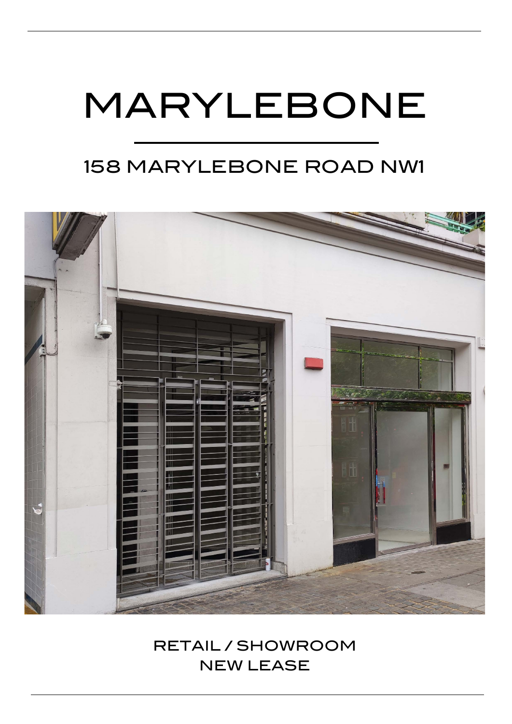# MARYLEBONE

# 158 MARYLEBONE ROAD NW1



RETAIL / SHOWROOM NEW LEASE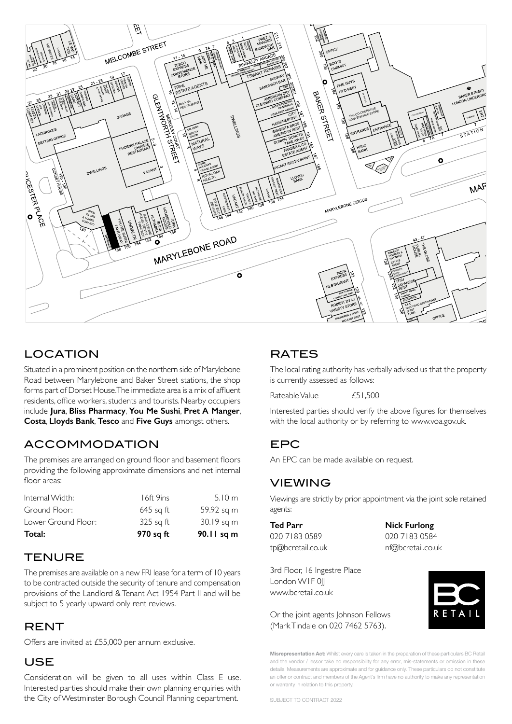

#### LOCATION  $C$

Situated in a prominent position on the northern side of Marylebone Road between Marylebone and Baker Street stations, the shop forms part of Dorset House. The immediate area is a mix of affluent residents, office workers, students and tourists. Nearby occupiers include **Jura**, **Bliss Pharmacy**, **You Me Sushi**, **Pret A Manger**, **Costa**, **Lloyds Bank**, **Tesco** and **Five Guys** amongst others.

### ACCOMMODATION

The premises are arranged on ground floor and basement floors providing the following approximate dimensions and net internal floor areas:

| 970 sq ft   | 90.11 sq m |
|-------------|------------|
| $325$ sq ft | 30.19 sq m |
| $645$ sq ft | 59.92 sq m |
| 16ft 9ins   | 5.10 m     |
|             |            |

### **TENURE**

The premises are available on a new FRI lease for a term of 10 years to be contracted outside the security of tenure and compensation provisions of the Landlord & Tenant Act 1954 Part II and will be subject to 5 yearly upward only rent reviews.

### **RENT**

Offers are invited at £55,000 per annum exclusive.

#### USE

Consideration will be given to all uses within Class E use. Interested parties should make their own planning enquiries with the City of Westminster Borough Council Planning department.

## **RATES**

The local rating authority has verbally advised us that the property is currently assessed as follows:

Rateable Value  $£51,500$ 

Interested parties should verify the above figures for themselves with the local authority or by referring to www.voa.gov.uk.

### EPC

An EPC can be made available on request.

### VIEWING

Viewings are strictly by prior appointment via the joint sole retained agents:

**Ted Parr Nick Furlong**  020 7183 0589 020 7183 0584 tp@bcretail.co.uk nf@bcretail.co.uk

3rd Floor, 16 Ingestre Place London WIF 0|| www.bcretail.co.uk

Or the joint agents Johnson Fellows (Mark Tindale on 020 7462 5763).

**Misrepresentation Act:** Whilst every care is taken in the preparation of these particulars BC Retail and the vendor / lessor take no responsibility for any error, mis-statements or omission in these details. Measurements are approximate and for guidance only. These particulars do not constitute an offer or contract and members of the Agent's firm have no authority to make any representation or warranty in relation to this property.

SUBJECT TO CONTRACT 2022